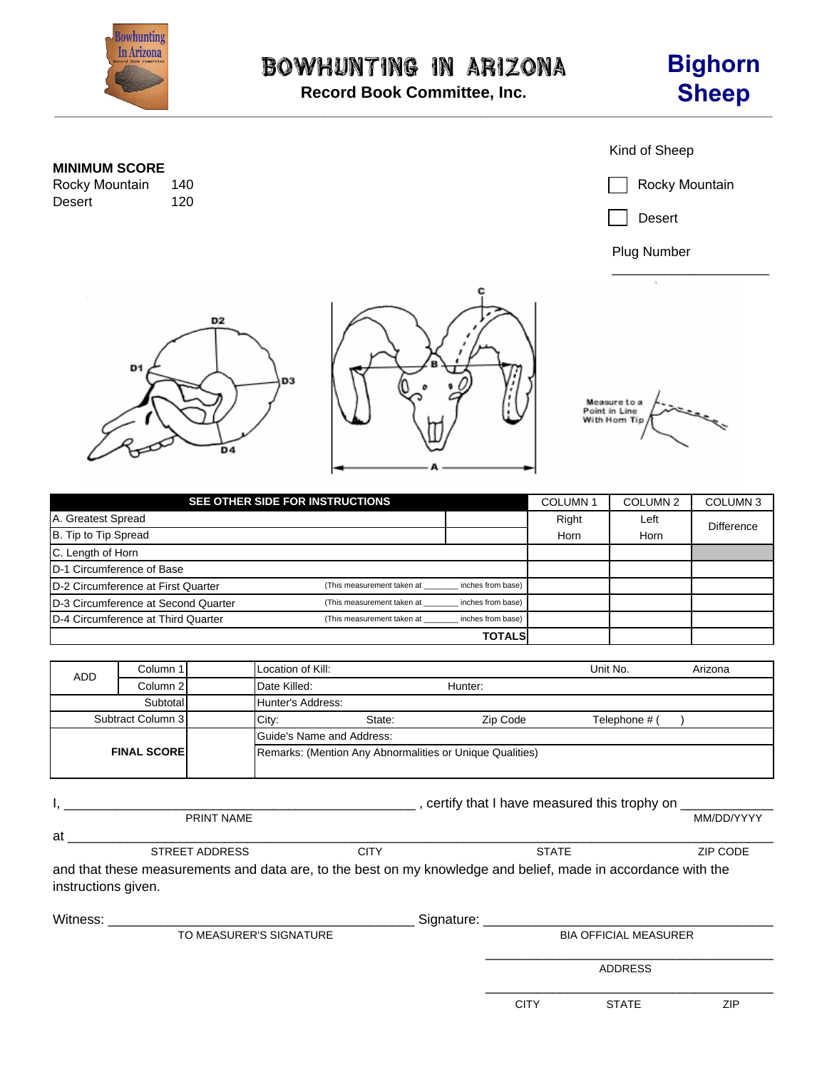

**Record Book Committee, Inc.**

## Kind of Sheep **MINIMUM SCORE** 140 Rocky Mountain<br>120 Rocky Mountain Desert Desert Plug Number \_\_\_\_\_\_\_\_\_\_\_\_\_\_\_\_\_\_\_\_\_ D<sub>2</sub> D<sub>1</sub> D3 Measure to a<br>Point in Line<br>With Hom Tip D<sub>4</sub>

| SEE OTHER SIDE FOR INSTRUCTIONS            | <b>COLUMN1</b>             | COLUMN <sub>2</sub> | <b>COLUMN3</b> |      |                   |
|--------------------------------------------|----------------------------|---------------------|----------------|------|-------------------|
| A. Greatest Spread                         |                            |                     | Right          | Left | <b>Difference</b> |
| B. Tip to Tip Spread                       |                            |                     | Horn           | Horn |                   |
| C. Length of Horn                          |                            |                     |                |      |                   |
| <b>ID-1 Circumference of Base</b>          |                            |                     |                |      |                   |
| <b>ID-2 Circumference at First Quarter</b> | (This measurement taken at | inches from base)   |                |      |                   |
| D-3 Circumference at Second Quarter        | (This measurement taken at | inches from base)   |                |      |                   |
| D-4 Circumference at Third Quarter         | (This measurement taken at | inches from base)   |                |      |                   |
|                                            |                            | <b>TOTALS</b>       |                |      |                   |

| ADD.                | Column 1 | Location of Kill:                                        |         |          | Unit No.      | Arizona |  |
|---------------------|----------|----------------------------------------------------------|---------|----------|---------------|---------|--|
|                     | Column 2 | Date Killed:                                             | Hunter: |          |               |         |  |
|                     | Subtotal | Hunter's Address:                                        |         |          |               |         |  |
| Subtract Column 3   |          | City:                                                    | State:  | Zip Code | Telephone # ( |         |  |
| <b>FINAL SCOREI</b> |          | Guide's Name and Address:                                |         |          |               |         |  |
|                     |          | Remarks: (Mention Any Abnormalities or Unique Qualities) |         |          |               |         |  |

|                     |                         | certify that I have measured this trophy on |                                                                                                                                                                                                                                |            |  |  |  |
|---------------------|-------------------------|---------------------------------------------|--------------------------------------------------------------------------------------------------------------------------------------------------------------------------------------------------------------------------------|------------|--|--|--|
|                     | <b>PRINT NAME</b>       |                                             |                                                                                                                                                                                                                                | MM/DD/YYYY |  |  |  |
| at                  |                         |                                             |                                                                                                                                                                                                                                |            |  |  |  |
|                     | <b>STREET ADDRESS</b>   | <b>CITY</b>                                 | <b>STATE</b>                                                                                                                                                                                                                   | ZIP CODE   |  |  |  |
| instructions given. |                         |                                             | and that these measurements and data are, to the best on my knowledge and belief, made in accordance with the                                                                                                                  |            |  |  |  |
| Witness:            |                         |                                             | Signature: Signature: The Contract of the Contract of the Contract of the Contract of the Contract of the Contract of the Contract of the Contract of the Contract of the Contract of the Contract of the Contract of the Cont |            |  |  |  |
|                     | TO MEASURER'S SIGNATURE |                                             | <b>BIA OFFICIAL MEASURER</b>                                                                                                                                                                                                   |            |  |  |  |
|                     |                         |                                             | <b>ADDRESS</b>                                                                                                                                                                                                                 |            |  |  |  |

\_\_\_\_\_\_\_\_\_\_\_\_\_\_\_\_\_\_\_\_\_\_\_\_\_\_\_\_\_\_\_\_\_\_\_\_\_\_

 $\overline{a}$